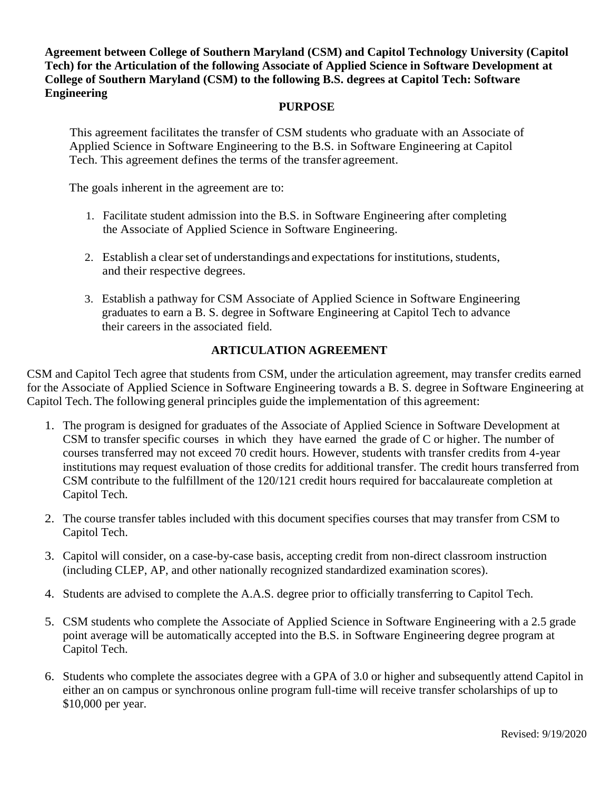**Agreement between College of Southern Maryland (CSM) and Capitol Technology University (Capitol Tech) for the Articulation of the following Associate of Applied Science in Software Development at College of Southern Maryland (CSM) to the following B.S. degrees at Capitol Tech: Software Engineering**

#### **PURPOSE**

This agreement facilitates the transfer of CSM students who graduate with an Associate of Applied Science in Software Engineering to the B.S. in Software Engineering at Capitol Tech. This agreement defines the terms of the transfer agreement.

The goals inherent in the agreement are to:

- 1. Facilitate student admission into the B.S. in Software Engineering after completing the Associate of Applied Science in Software Engineering.
- 2. Establish a clear set of understandings and expectations for institutions, students, and their respective degrees.
- 3. Establish a pathway for CSM Associate of Applied Science in Software Engineering graduates to earn a B. S. degree in Software Engineering at Capitol Tech to advance their careers in the associated field.

### **ARTICULATION AGREEMENT**

CSM and Capitol Tech agree that students from CSM, under the articulation agreement, may transfer credits earned for the Associate of Applied Science in Software Engineering towards a B. S. degree in Software Engineering at Capitol Tech. The following general principles guide the implementation of this agreement:

- 1. The program is designed for graduates of the Associate of Applied Science in Software Development at CSM to transfer specific courses in which they have earned the grade of C or higher. The number of courses transferred may not exceed 70 credit hours. However, students with transfer credits from 4-year institutions may request evaluation of those credits for additional transfer. The credit hours transferred from CSM contribute to the fulfillment of the 120/121 credit hours required for baccalaureate completion at Capitol Tech.
- 2. The course transfer tables included with this document specifies courses that may transfer from CSM to Capitol Tech.
- 3. Capitol will consider, on a case-by-case basis, accepting credit from non-direct classroom instruction (including CLEP, AP, and other nationally recognized standardized examination scores).
- 4. Students are advised to complete the A.A.S. degree prior to officially transferring to Capitol Tech.
- 5. CSM students who complete the Associate of Applied Science in Software Engineering with a 2.5 grade point average will be automatically accepted into the B.S. in Software Engineering degree program at Capitol Tech.
- 6. Students who complete the associates degree with a GPA of 3.0 or higher and subsequently attend Capitol in either an on campus or synchronous online program full-time will receive transfer scholarships of up to \$10,000 per year.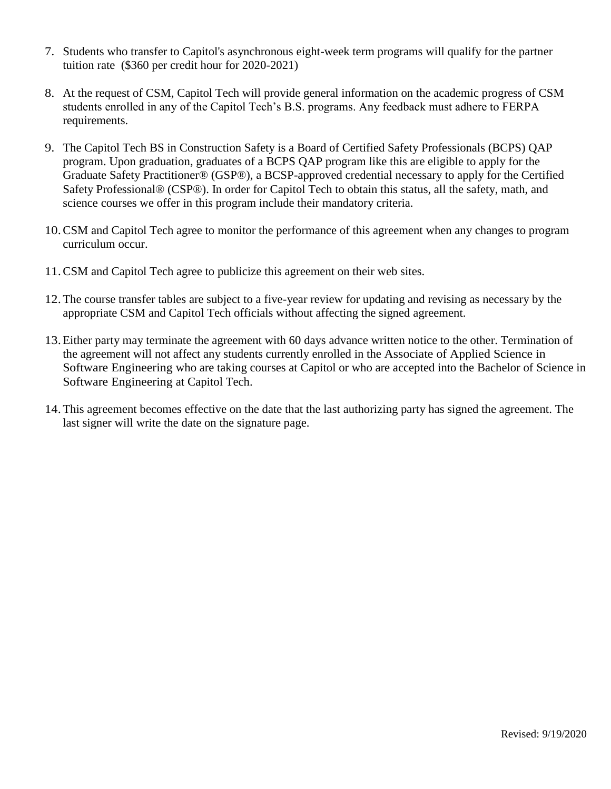- 7. Students who transfer to Capitol's asynchronous eight-week term programs will qualify for the partner tuition rate (\$360 per credit hour for 2020-2021)
- 8. At the request of CSM, Capitol Tech will provide general information on the academic progress of CSM students enrolled in any of the Capitol Tech's B.S. programs. Any feedback must adhere to FERPA requirements.
- 9. The Capitol Tech BS in Construction Safety is a Board of Certified Safety Professionals (BCPS) QAP program. Upon graduation, graduates of a BCPS QAP program like this are eligible to apply for the Graduate Safety Practitioner® (GSP®), a BCSP-approved credential necessary to apply for the Certified Safety Professional® (CSP®). In order for Capitol Tech to obtain this status, all the safety, math, and science courses we offer in this program include their mandatory criteria.
- 10.CSM and Capitol Tech agree to monitor the performance of this agreement when any changes to program curriculum occur.
- 11.CSM and Capitol Tech agree to publicize this agreement on their web sites.
- 12.The course transfer tables are subject to a five-year review for updating and revising as necessary by the appropriate CSM and Capitol Tech officials without affecting the signed agreement.
- 13.Either party may terminate the agreement with 60 days advance written notice to the other. Termination of the agreement will not affect any students currently enrolled in the Associate of Applied Science in Software Engineering who are taking courses at Capitol or who are accepted into the Bachelor of Science in Software Engineering at Capitol Tech.
- 14.This agreement becomes effective on the date that the last authorizing party has signed the agreement. The last signer will write the date on the signature page.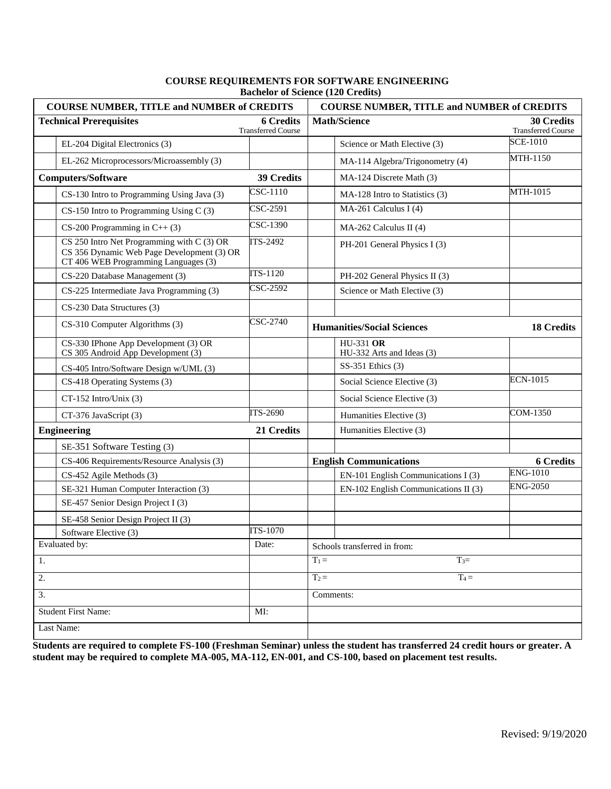| <b>COURSE NUMBER, TITLE and NUMBER of CREDITS</b>                                                                                |                                               | <b>COURSE NUMBER, TITLE and NUMBER of CREDITS</b> |                                                |
|----------------------------------------------------------------------------------------------------------------------------------|-----------------------------------------------|---------------------------------------------------|------------------------------------------------|
| <b>Technical Prerequisites</b>                                                                                                   | <b>6 Credits</b><br><b>Transferred Course</b> | <b>Math/Science</b>                               | <b>30 Credits</b><br><b>Transferred Course</b> |
| EL-204 Digital Electronics (3)                                                                                                   |                                               | Science or Math Elective (3)                      | <b>SCE-1010</b>                                |
| EL-262 Microprocessors/Microassembly (3)                                                                                         |                                               | MA-114 Algebra/Trigonometry (4)                   | MTH-1150                                       |
| <b>Computers/Software</b>                                                                                                        | 39 Credits                                    | MA-124 Discrete Math (3)                          |                                                |
| CS-130 Intro to Programming Using Java (3)                                                                                       | CSC-1110                                      | MA-128 Intro to Statistics (3)                    | MTH-1015                                       |
| $CS-150$ Intro to Programming Using C (3)                                                                                        | CSC-2591                                      | MA-261 Calculus I (4)                             |                                                |
| CS-200 Programming in $C++$ (3)                                                                                                  | CSC-1390                                      | MA-262 Calculus II (4)                            |                                                |
| CS 250 Intro Net Programming with C (3) OR<br>CS 356 Dynamic Web Page Development (3) OR<br>CT 406 WEB Programming Languages (3) | <b>ITS-2492</b>                               | PH-201 General Physics I (3)                      |                                                |
| CS-220 Database Management (3)                                                                                                   | <b>ITS-1120</b>                               | PH-202 General Physics II (3)                     |                                                |
| CS-225 Intermediate Java Programming (3)                                                                                         | CSC-2592                                      | Science or Math Elective (3)                      |                                                |
| CS-230 Data Structures (3)                                                                                                       |                                               |                                                   |                                                |
| CS-310 Computer Algorithms (3)                                                                                                   | CSC-2740                                      | <b>Humanities/Social Sciences</b>                 | <b>18 Credits</b>                              |
| CS-330 IPhone App Development (3) OR<br>CS 305 Android App Development (3)                                                       |                                               | <b>HU-331 OR</b><br>HU-332 Arts and Ideas (3)     |                                                |
| CS-405 Intro/Software Design w/UML (3)                                                                                           |                                               | SS-351 Ethics (3)                                 |                                                |
| CS-418 Operating Systems (3)                                                                                                     |                                               | Social Science Elective (3)                       | <b>ECN-1015</b>                                |
| $CT-152$ Intro/Unix (3)                                                                                                          |                                               | Social Science Elective (3)                       |                                                |
| CT-376 JavaScript (3)                                                                                                            | ITS-2690                                      | Humanities Elective (3)                           | COM-1350                                       |
| <b>Engineering</b>                                                                                                               | 21 Credits                                    | Humanities Elective (3)                           |                                                |
| SE-351 Software Testing (3)                                                                                                      |                                               |                                                   |                                                |
| CS-406 Requirements/Resource Analysis (3)                                                                                        |                                               | <b>English Communications</b>                     | <b>6 Credits</b>                               |
| CS-452 Agile Methods (3)                                                                                                         |                                               | EN-101 English Communications I (3)               | <b>ENG-1010</b>                                |
| SE-321 Human Computer Interaction (3)                                                                                            |                                               | EN-102 English Communications II (3)              | <b>ENG-2050</b>                                |
| SE-457 Senior Design Project I (3)                                                                                               |                                               |                                                   |                                                |
| SE-458 Senior Design Project II (3)                                                                                              |                                               |                                                   |                                                |
| Software Elective (3)                                                                                                            | <b>ITS-1070</b>                               |                                                   |                                                |
| Evaluated by:                                                                                                                    | Date:                                         | Schools transferred in from:                      |                                                |
| 1.                                                                                                                               |                                               | $T_1 =$<br>$T_3=$                                 |                                                |
| 2.                                                                                                                               |                                               | $T_2 =$<br>$T_4 =$                                |                                                |
| 3.                                                                                                                               |                                               | Comments:                                         |                                                |
| Student First Name:                                                                                                              | MI:                                           |                                                   |                                                |
| Last Name:                                                                                                                       |                                               |                                                   |                                                |

#### **COURSE REQUIREMENTS FOR SOFTWARE ENGINEERING Bachelor of Science (120 Credits)**

**Students are required to complete FS-100 (Freshman Seminar) unless the student has transferred 24 credit hours or greater. A student may be required to complete MA-005, MA-112, EN-001, and CS-100, based on placement test results.**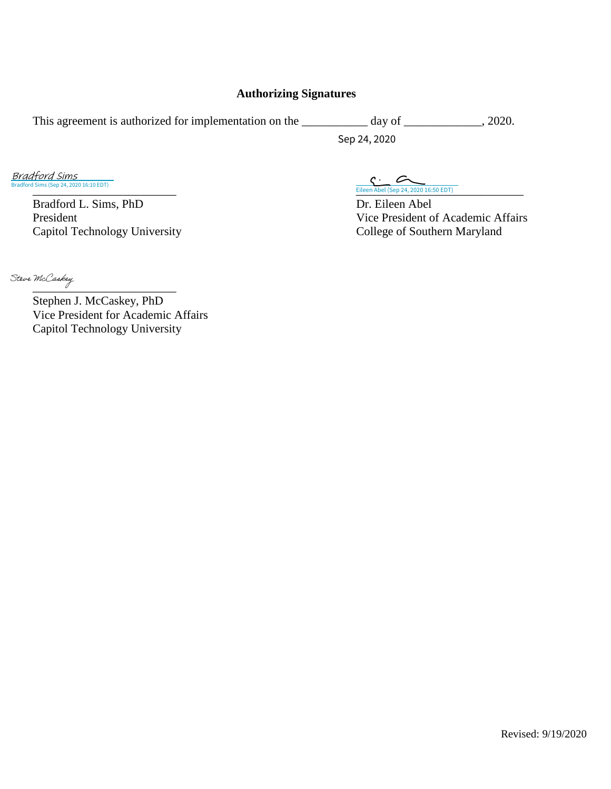#### **Authorizing Signatures**

This agreement is authorized for implementation on the \_\_\_\_\_\_\_\_\_\_ day of \_\_\_\_\_\_\_\_\_, 2020.

Sep 24, 2020

Bradford Sims (Sep 24, 2020 16:10 EDT) Bradford Sims

> Bradford L. Sims, PhD Dr. Eileen Abel Capitol Technology University

[\\_\\_\\_\\_\\_\\_\\_\\_\\_\\_\\_\\_\\_\\_\\_\\_\\_\\_\\_\\_\\_\\_\\_\\_ \\_\\_\\_\\_\\_\\_\\_\\_\\_\\_\\_\\_\\_\\_\\_\\_\\_\\_\\_\\_\\_\\_\\_\\_\\_\\_\\_\\_](https://na2.documents.adobe.com/verifier?tx=CBJCHBCAABAAQL8RLHQaDt3Vpm2Y32Zd_6IR8ut__ATJ) Eileen Abel (Sep 24, 2020 16:50 EDT)

President<br>
Capitol Technology University<br>
College of Southern Maryland<br>
College of Southern Maryland

Steve McCaskey

Stephen J. McCaskey, PhD Vice President for Academic Affairs Capitol Technology University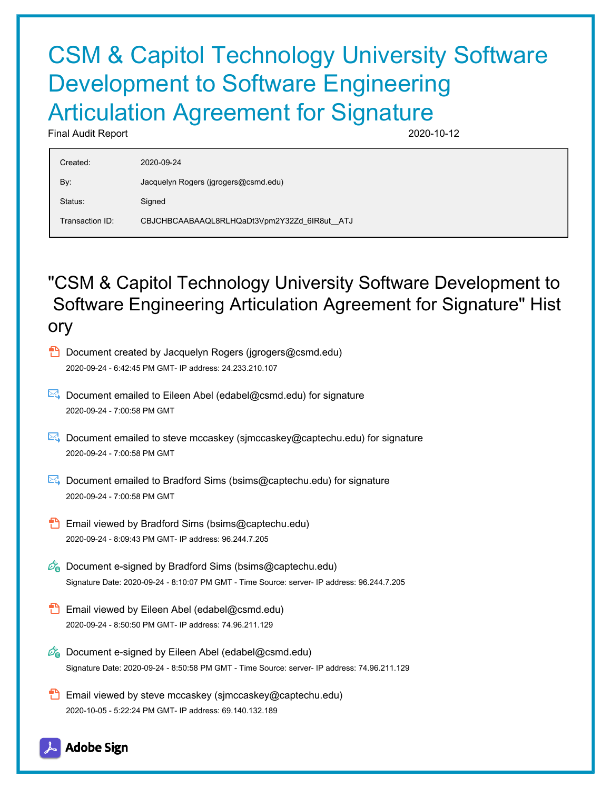# CSM & Capitol Technology University Software Development to Software Engineering Articulation Agreement for Signature

Final Audit Report 2020-10-12

| Created:        | 2020-09-24                                  |
|-----------------|---------------------------------------------|
| By:             | Jacquelyn Rogers (jgrogers@csmd.edu)        |
| Status:         | Signed                                      |
| Transaction ID: | CBJCHBCAABAAQL8RLHQaDt3Vpm2Y32Zd_6IR8ut_ATJ |

## "CSM & Capitol Technology University Software Development to Software Engineering Articulation Agreement for Signature" Hist ory

- **D** Document created by Jacquelyn Rogers (jgrogers@csmd.edu) 2020-09-24 - 6:42:45 PM GMT- IP address: 24.233.210.107
- $\boxtimes$  Document emailed to Eileen Abel (edabel@csmd.edu) for signature 2020-09-24 - 7:00:58 PM GMT
- Document emailed to steve mccaskey (sjmccaskey@captechu.edu) for signature 2020-09-24 - 7:00:58 PM GMT
- Document emailed to Bradford Sims (bsims@captechu.edu) for signature 2020-09-24 - 7:00:58 PM GMT
- **Email viewed by Bradford Sims (bsims@captechu.edu)** 2020-09-24 - 8:09:43 PM GMT- IP address: 96.244.7.205
- $\mathscr{O}_\bullet$  Document e-signed by Bradford Sims (bsims@captechu.edu) Signature Date: 2020-09-24 - 8:10:07 PM GMT - Time Source: server- IP address: 96.244.7.205
- **Email viewed by Eileen Abel (edabel@csmd.edu)** 2020-09-24 - 8:50:50 PM GMT- IP address: 74.96.211.129
- $\mathscr{O}_\mathbf{G}$  Document e-signed by Eileen Abel (edabel@csmd.edu) Signature Date: 2020-09-24 - 8:50:58 PM GMT - Time Source: server- IP address: 74.96.211.129
- **Email viewed by steve mccaskey (sjmccaskey@captechu.edu)** 2020-10-05 - 5:22:24 PM GMT- IP address: 69.140.132.189

**Adobe Sign**